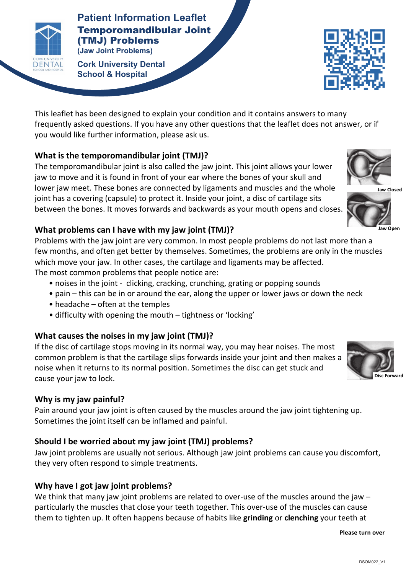

**Patients Patient Information Leaflet** Temporomandibular Joint (TMJ) Problems **(Jaw Joint Problems)**

**TEMPOROMANDIAN CORPORATION CORPORATION CORPORATION CONTROL CONTROL CONTROL CONTROL CONTROL CONTROL CONTROL CONTROL CONTROL CONTROL CONTROL CONTROL CONTROL CONTROL CONTROL CONTROL CONTROL CONTROL CONTROL CONTROL CONTROL CO (Jaw** Barbara) **School & Hospital**



This leaflet has been designed to explain your condition and it contains answers to many frequently asked questions. If you have any other questions that the leaflet does not answer, or if you would like further information, please ask us.

### **What is the temporomandibular joint (TMJ)?**

The temporomandibular joint is also called the jaw joint. This joint allows your lower iaw to move and it is found in front of your ear where the bones of your skull and lower jaw meet. These bones are connected by ligaments and muscles and the whole joint has a covering (capsule) to protect it. Inside your joint, a disc of cartilage sits between the bones. It moves forwards and backwards as your mouth opens and closes.

#### **What problems can I have with my jaw joint (TMJ)?**

Problems with the jaw joint are very common. In most people problems do not last more than a few months, and often get better by themselves. Sometimes, the problems are only in the muscles which move your jaw. In other cases, the cartilage and ligaments may be affected. The most common problems that people notice are:

- noises in the joint clicking, cracking, crunching, grating or popping sounds
- $\bullet$  pain this can be in or around the ear, along the upper or lower jaws or down the neck
- $\bullet$  headache often at the temples
- difficulty with opening the mouth tightness or 'locking'

### **What causes the noises in my jaw joint (TMJ)?**

If the disc of cartilage stops moving in its normal way, you may hear noises. The most common problem is that the cartilage slips forwards inside your joint and then makes a noise when it returns to its normal position. Sometimes the disc can get stuck and cause your jaw to lock.

### Why is my jaw painful?

Pain around your jaw joint is often caused by the muscles around the jaw joint tightening up. Sometimes the joint itself can be inflamed and painful.

# Should I be worried about my jaw joint (TMJ) problems?

Jaw joint problems are usually not serious. Although jaw joint problems can cause you discomfort, they very often respond to simple treatments.

# Why have I got jaw joint problems?

We think that many jaw joint problems are related to over-use of the muscles around the jaw  $$ particularly the muscles that close your teeth together. This over-use of the muscles can cause them to tighten up. It often happens because of habits like **grinding** or **clenching** your teeth at

**Please turn over**



**Jaw 
Open**